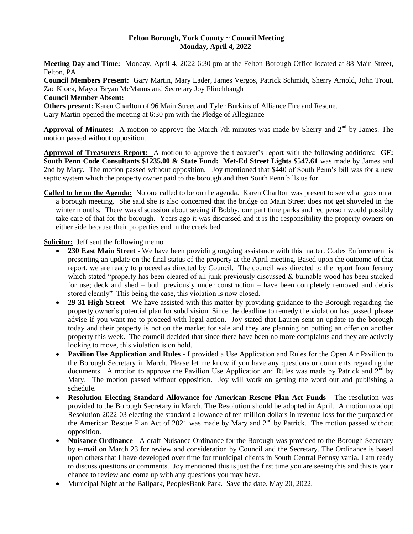#### **Felton Borough, York County ~ Council Meeting Monday, April 4, 2022**

**Meeting Day and Time:** Monday, April 4, 2022 6:30 pm at the Felton Borough Office located at 88 Main Street, Felton, PA.

**Council Members Present:** Gary Martin, Mary Lader, James Vergos, Patrick Schmidt, Sherry Arnold, John Trout, Zac Klock, Mayor Bryan McManus and Secretary Joy Flinchbaugh

#### **Council Member Absent:**

**Others present:** Karen Charlton of 96 Main Street and Tyler Burkins of Alliance Fire and Rescue.

Gary Martin opened the meeting at 6:30 pm with the Pledge of Allegiance

Approval of Minutes: A motion to approve the March 7th minutes was made by Sherry and 2<sup>nd</sup> by James. The motion passed without opposition.

**Approval of Treasurers Report:** A motion to approve the treasurer's report with the following additions: **GF: South Penn Code Consultants \$1235.00 & State Fund: Met-Ed Street Lights \$547.61** was made by James and 2nd by Mary. The motion passed without opposition. Joy mentioned that \$440 of South Penn's bill was for a new septic system which the property owner paid to the borough and then South Penn bills us for.

**Called to be on the Agenda:** No one called to be on the agenda. Karen Charlton was present to see what goes on at a borough meeting. She said she is also concerned that the bridge on Main Street does not get shoveled in the winter months. There was discussion about seeing if Bobby, our part time parks and rec person would possibly take care of that for the borough. Years ago it was discussed and it is the responsibility the property owners on either side because their properties end in the creek bed.

### **Solicitor:** Jeff sent the following memo

- **230 East Main Street** We have been providing ongoing assistance with this matter. Codes Enforcement is presenting an update on the final status of the property at the April meeting. Based upon the outcome of that report, we are ready to proceed as directed by Council. The council was directed to the report from Jeremy which stated "property has been cleared of all junk previously discussed & burnable wood has been stacked for use; deck and shed – both previously under construction – have been completely removed and debris stored cleanly" This being the case, this violation is now closed.
- **29-31 High Street** We have assisted with this matter by providing guidance to the Borough regarding the property owner's potential plan for subdivision. Since the deadline to remedy the violation has passed, please advise if you want me to proceed with legal action. Joy stated that Lauren sent an update to the borough today and their property is not on the market for sale and they are planning on putting an offer on another property this week. The council decided that since there have been no more complaints and they are actively looking to move, this violation is on hold.
- **Pavilion Use Application and Rules -** I provided a Use Application and Rules for the Open Air Pavilion to the Borough Secretary in March. Please let me know if you have any questions or comments regarding the documents. A motion to approve the Pavilion Use Application and Rules was made by Patrick and 2<sup>nd</sup> by Mary. The motion passed without opposition. Joy will work on getting the word out and publishing a schedule.
- **Resolution Electing Standard Allowance for American Rescue Plan Act Funds** The resolution was provided to the Borough Secretary in March. The Resolution should be adopted in April. A motion to adopt Resolution 2022-03 electing the standard allowance of ten million dollars in revenue loss for the purposed of the American Rescue Plan Act of 2021 was made by Mary and  $2<sup>nd</sup>$  by Patrick. The motion passed without opposition.
- **Nuisance Ordinance -** A draft Nuisance Ordinance for the Borough was provided to the Borough Secretary by e-mail on March 23 for review and consideration by Council and the Secretary. The Ordinance is based upon others that I have developed over time for municipal clients in South Central Pennsylvania. I am ready to discuss questions or comments. Joy mentioned this is just the first time you are seeing this and this is your chance to review and come up with any questions you may have.
- Municipal Night at the Ballpark, PeoplesBank Park. Save the date. May 20, 2022.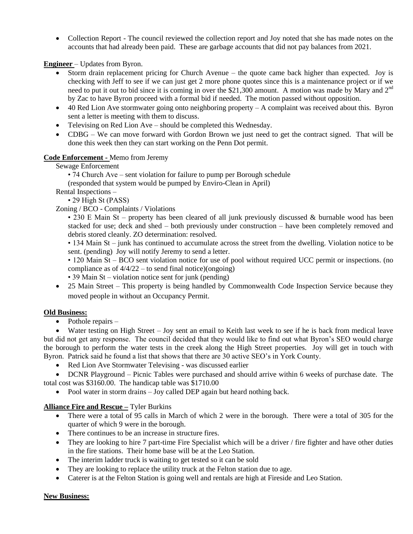Collection Report - The council reviewed the collection report and Joy noted that she has made notes on the accounts that had already been paid. These are garbage accounts that did not pay balances from 2021.

**Engineer** – Updates from Byron.

- Storm drain replacement pricing for Church Avenue the quote came back higher than expected. Joy is checking with Jeff to see if we can just get 2 more phone quotes since this is a maintenance project or if we need to put it out to bid since it is coming in over the \$21,300 amount. A motion was made by Mary and  $2<sup>nd</sup>$ by Zac to have Byron proceed with a formal bid if needed. The motion passed without opposition.
- 40 Red Lion Ave stormwater going onto neighboring property A complaint was received about this. Byron sent a letter is meeting with them to discuss.
- Televising on Red Lion Ave should be completed this Wednesday.
- CDBG We can move forward with Gordon Brown we just need to get the contract signed. That will be done this week then they can start working on the Penn Dot permit.

# **Code Enforcement -** Memo from Jeremy

Sewage Enforcement

• 74 Church Ave – sent violation for failure to pump per Borough schedule

(responded that system would be pumped by Enviro-Clean in April)

Rental Inspections –

• 29 High St (PASS)

### Zoning / BCO - Complaints / Violations

• 230 E Main St – property has been cleared of all junk previously discussed & burnable wood has been stacked for use; deck and shed – both previously under construction – have been completely removed and debris stored cleanly. ZO determination: resolved.

• 134 Main St – junk has continued to accumulate across the street from the dwelling. Violation notice to be sent. (pending) Joy will notify Jeremy to send a letter.

• 120 Main St – BCO sent violation notice for use of pool without required UCC permit or inspections. (no compliance as of  $4/4/22$  – to send final notice)(ongoing)

• 39 Main St – violation notice sent for junk (pending)

• 25 Main Street – This property is being handled by Commonwealth Code Inspection Service because they moved people in without an Occupancy Permit.

### **Old Business:**

 $\bullet$  Pothole repairs –

Water testing on High Street – Joy sent an email to Keith last week to see if he is back from medical leave but did not get any response. The council decided that they would like to find out what Byron's SEO would charge the borough to perform the water tests in the creek along the High Street properties. Joy will get in touch with Byron. Patrick said he found a list that shows that there are 30 active SEO's in York County.

• Red Lion Ave Stormwater Televising - was discussed earlier

 DCNR Playground – Picnic Tables were purchased and should arrive within 6 weeks of purchase date. The total cost was \$3160.00. The handicap table was \$1710.00

• Pool water in storm drains – Joy called DEP again but heard nothing back.

# **Alliance Fire and Rescue –** Tyler Burkins

- There were a total of 95 calls in March of which 2 were in the borough. There were a total of 305 for the quarter of which 9 were in the borough.
- There continues to be an increase in structure fires.
- They are looking to hire 7 part-time Fire Specialist which will be a driver / fire fighter and have other duties in the fire stations. Their home base will be at the Leo Station.
- The interim ladder truck is waiting to get tested so it can be sold
- They are looking to replace the utility truck at the Felton station due to age.
- Caterer is at the Felton Station is going well and rentals are high at Fireside and Leo Station.

### **New Business:**